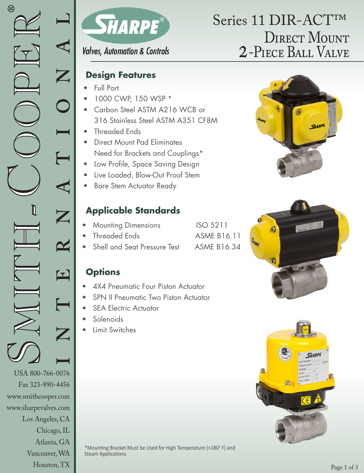www.smithcooper.com www.sharpevalves.com

Los Angeles, CA

Chicago, IL Atlanta, GA Vancouver, WA Houston, TX



#### **Valves, Automation & Controls**

#### **Design Features**

- Full Port
- 1000 CWP, 150 WSP \*
- Carbon Steel ASTM A216 WCB or 316 Stainless Steel ASTM A351 CF8M
- Threaded Ends
- Direct Mount Pad Eliminates Need for Brackets and Couplings\*
- Low Profile, Space Saving Design
- Live Loaded, Blow-Out Proof Stem
- Bare Stem Actuator Ready

## **Applicable Standards**

- **Mounting Dimensions** ISO 5211
- Threaded Ends **ASME B16.11**
- Shell and Seat Pressure Test ASME B16.34

#### **Options**

- 4X4 Pneumatic Four Piston Actuator
- **SPN II Pneumatic Two Piston Actuator**
- **SEA Electric Actuator**
- Solenoids
- Limit Switches

\*Mounting Bracket Must be Used for High Temperature (>180°F) and Steam Applications

# DIRECT MOUNT 2-Piece Ball Valve Series 11 DIR-ACT™





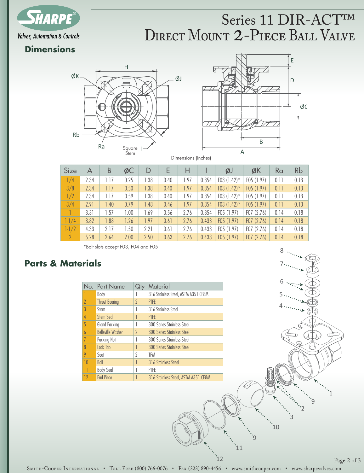

## $\mathbf{R}$ DIRECT MOUNT 2-PIECE BALL VALVE Series 11 DIR-ACT™

#### **Dimensions**





Dimensions (Inches)

| Size      | А    | B    | ØC   | D    | Е    | Н    |       | ØJ             | ØK        | Ra   | Rb   |
|-----------|------|------|------|------|------|------|-------|----------------|-----------|------|------|
| 1/4       | 2.34 | 1.17 | 0.25 | 1.38 | 0.40 | 1.97 | 0.354 | F03 $(1.42)^*$ | F05(1.97) | 0.11 | 0.13 |
| 3/8       | 2.34 | 1.17 | 0.50 | 1.38 | 0.40 | 1.97 | 0.354 | F03 $(1.42)$ * | F05(1.97) | 0.11 | 0.13 |
| 1/2       | 2.34 | 1.17 | 0.59 | 1.38 | 0.40 | 1.97 | 0.354 | F03 $(1.42)^*$ | F05(1.97) | 0.11 | 0.13 |
| 3/4       | 2.91 | 1.40 | 0.79 | 1.48 | 0.46 | 1.97 | 0.354 | F03 $(1.42)^*$ | F05(1.97) | 0.11 | 0.13 |
|           | 3.31 | 1.57 | 1.00 | 1.69 | 0.56 | 2.76 | 0.354 | F05(1.97)      | F07(2.76) | 0.14 | 0.18 |
| $1 - 1/4$ | 3.82 | 1.88 | 1.26 | 1.97 | 0.61 | 2.76 | 0.433 | F05(1.97)      | F07(2.76) | 0.14 | 0.18 |
| $1 - 1/2$ | 4.33 | 2.17 | 1.50 | 2.21 | 0.61 | 2.76 | 0.433 | F05(1.97)      | F07(2.76) | 0.14 | 0.18 |
| 2         | 5.28 | 2.64 | 2.00 | 2.50 | 0.63 | 2.76 | 0.433 | F05(1.97)      | F07(2.76) | 0.14 | 0.18 |

B \*Bolt slots accept F03, F04 and F05

#### **Parts & Materials**

| No.            | <b>Part Name</b>         |          | Material                            |
|----------------|--------------------------|----------|-------------------------------------|
|                | Body                     |          | 316 Stainless Steel, ASTM A351 CF8M |
| $\overline{2}$ | <b>Thrust Bearing</b>    | $\gamma$ | <b>PTFE</b>                         |
| 3              | Stem                     |          | 316 Stainless Steel                 |
| 4              | Stem Seal                |          | <b>PTFF</b>                         |
| 5              | <b>Gland Packing</b>     |          | 300 Series Stainless Steel          |
| $\overline{b}$ | <b>Belleville Washer</b> | $\gamma$ | <b>300 Series Stainless Steel</b>   |
| 7              | Packing Nut              |          | 300 Series Stainless Steel          |
| 8              | Lock Tab                 |          | <b>300 Series Stainless Steel</b>   |
| 9              | Seat                     | 2        | TFM                                 |
| 10             | Ball                     |          | 316 Stainless Steel                 |
| 11             | <b>Body Seal</b>         |          | PTFE                                |
| 12             | <b>End Piece</b>         |          | 316 Stainless Steel, ASTM A351 CF8M |



Page 2 of 3

11

 $^{\circ}12$